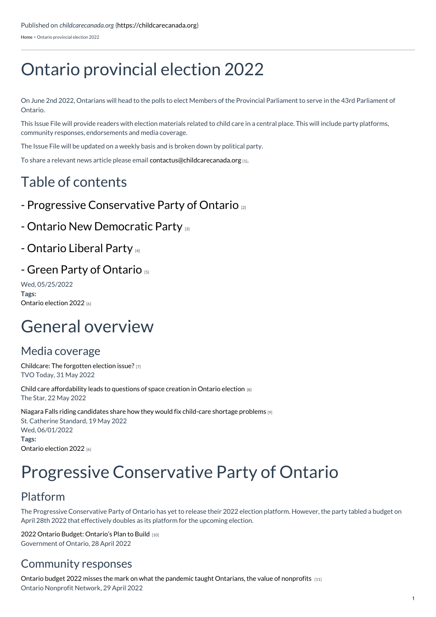[Home](https://childcarecanada.org/) > Ontario provincial election 2022

# Ontario provincial election 2022

On June 2nd 2022, Ontarians will head to the polls to elect Members of the Provincial Parliament to serve in the 43rd Parliament of Ontario.

This Issue File will provide readers with election materials related to child care in a central place. This will include party platforms, community responses, endorsements and media coverage.

The Issue File will be updated on a weekly basis and is broken down by political party.

To share a relevant news article please email [contactus@childcarecanada.org](mailto:contactus@childcarecanada.org) [1].

# Table of contents

- Progressive [Conservative](https://childcarecanada.org/resources/issue-files/ontario-provincial-election-2022/progressive-conservative-party-ontario) Party of Ontario [2]
- Ontario New [Democratic](https://childcarecanada.org/resources/issue-files/ontario-provincial-election-2022/ontario-new-democratic-party) Party [3]

### - [Ontario](https://childcarecanada.org/resources/issue-files/ontario-provincial-election-2022/ontario-liberal-party) Liberal Party [4]

#### - Green Party of [Ontario](https://childcarecanada.org/resources/issue-files/ontario-provincial-election-2022/green-party-ontario) [5]

Wed, 05/25/2022 **Tags:** Ontario [election](https://childcarecanada.org/taxonomy/term/9251) 2022 [6]

# General overview

### Media coverage

[Childcare:](https://childcarecanada.org/documents/child-care-news/22/06/childcare-forgotten-election-issue) The forgotten election issue? [7] TVO Today, 31 May 2022

Child care [affordability](https://childcarecanada.org/documents/child-care-news/22/05/child-care-affordability-leads-questions-space-creation-ontario) leads to questions of space creation in Ontario election [8] The Star, 22 May 2022

Niagara Falls riding [candidates](https://childcarecanada.org/documents/child-care-news/22/05/niagara-falls-riding-candidates-share-how-they-would-fix-child-care) share how they would fix child-care shortage problems [9] St. Catherine Standard, 19 May 2022 Wed, 06/01/2022 **Tags:** Ontario [election](https://childcarecanada.org/taxonomy/term/9251) 2022 [6]

# Progressive Conservative Party of Ontario

# Platform

The Progressive Conservative Party of Ontario has yet to release their 2022 election platform. However, the party tabled a budget on April 28th 2022 that effectively doubles as its platform for the upcoming election.

2022 Ontario Budget: [Ontario's](https://budget.ontario.ca/2022/index.html) Plan to Build [10] Government of Ontario, 28 April 2022

### Community responses

Ontario budget 2022 misses the mark on what the pandemic taught [Ontarians,](https://childcarecanada.org/documents/research-policy-practice/22/05/ontario-budget-2022) the value of nonprofits [11] Ontario Nonprofit Network, 29 April 2022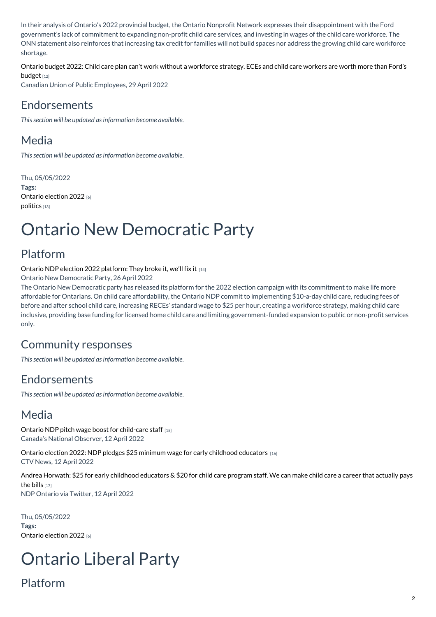In their analysis of Ontario's 2022 provincial budget, the Ontario Nonprofit Network expresses their disappointment with the Ford government's lack of commitment to expanding non-profit child care services, and investing in wages of the child care workforce. The ONN statement also reinforces that increasing tax credit for families will not build spaces nor address the growing child care workforce shortage.

Ontario budget 2022: Child care plan can't work without a [workforce](https://childcarecanada.org/documents/child-care-news/22/05/ontario-budget-2022-child-care-plan-can%25E2%2580%2599t-work-without-workforce) strategy. ECEs and child care workers are worth more than Ford's budget [12]

Canadian Union of Public Employees, 29 April 2022

### Endorsements

*This section will be updated as information become available.*

# Media

*This section will be updated as information become available.*

Thu, 05/05/2022 **Tags:** Ontario [election](https://childcarecanada.org/taxonomy/term/9251) 2022 [6] [politics](https://childcarecanada.org/category/tags/politics) [13]

# Ontario New Democratic Party

# Platform

Ontario NDP election 2022 [platform:](https://childcarecanada.org/documents/research-policy-practice/22/04/ontario-ndp-election-platform-they-broke-it-we%25E2%2580%2599ll-fix-it) They broke it, we'll fix it [14]

Ontario New Democratic Party, 26 April 2022

The Ontario New Democratic party has released its platform for the 2022 election campaign with its commitment to make life more affordable for Ontarians. On child care affordability, the Ontario NDP commit to implementing \$10-a-day child care, reducing fees of before and after school child care, increasing RECEs' standard wage to \$25 per hour, creating a workforce strategy, making child care inclusive, providing base funding for licensed home child care and limiting government-funded expansion to public or non-profit services only.

# Community responses

*This section will be updated as information become available.*

# Endorsements

*This section will be updated as information become available.*

# Media

Ontario NDP pitch wage boost for [child-care](https://childcarecanada.org/documents/child-care-news/22/04/ontario-ndp-pitch-wage-boost-child-care-staff) staff [15] Canada's National Observer, 12 April 2022

Ontario election 2022: NDP pledges \$25 minimum wage for early childhood [educators](https://childcarecanada.org/documents/child-care-news/22/04/ndp-promises-25-minimum-wage-early-childhood-educators-ontario) [16] CTV News, 12 April 2022

Andrea Horwath: \$25 for early childhood [educators](http://childcarecanada.org/documents/child-care-news/22/04/andrea-horwath-25-early-childhood-educators-20-child-care-program) & \$20 for child care program staff. We can make child care a career that actually pays the bills [17] NDP Ontario via Twitter, 12 April 2022

Thu, 05/05/2022 **Tags:** Ontario [election](https://childcarecanada.org/taxonomy/term/9251) 2022 [6]

# Ontario Liberal Party

# Platform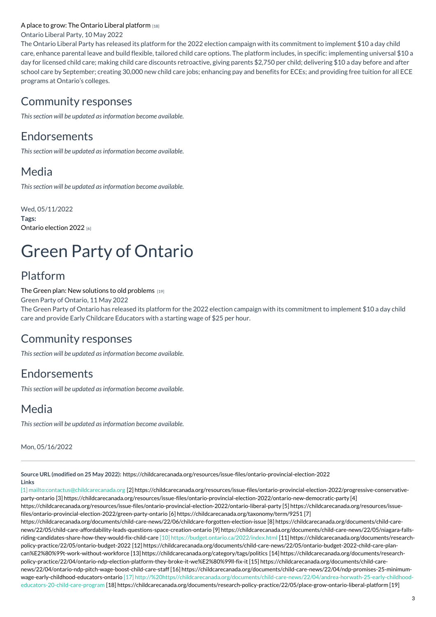#### A place to grow: The Ontario Liberal [platform](https://childcarecanada.org/documents/research-policy-practice/22/05/place-grow-ontario-liberal-platform) [18]

Ontario Liberal Party, 10 May 2022

The Ontario Liberal Party has released its platform for the 2022 election campaign with its commitment to implement \$10 a day child care, enhance parental leave and build flexible, tailored child care options. The platform includes, in specific: implementing universal \$10 a day for licensed child care; making child care discounts retroactive, giving parents \$2,750 per child; delivering \$10 a day before and after school care by September; creating 30,000 new child care jobs; enhancing pay and benefits for ECEs; and providing free tuition for all ECE programs at Ontario's colleges.

#### Community responses

*This section will be updated as information become available.*

#### Endorsements

*This section will be updated as information become available.*

### Media

*This section will be updated as information become available.*

Wed, 05/11/2022 **Tags:** Ontario [election](https://childcarecanada.org/taxonomy/term/9251) 2022 [6]

# Green Party of Ontario

### Platform

The Green plan: New solutions to old [problems](https://childcarecanada.org/documents/research-policy-practice/22/05/green-plan-new-solutions-old-problems) [19]

Green Party of Ontario, 11 May 2022

The Green Party of Ontario has released its platform for the 2022 election campaign with its commitment to implement \$10 a day child care and provide Early Childcare Educators with a starting wage of \$25 per hour.

#### Community responses

*This section will be updated as information become available.*

#### Endorsements

*This section will be updated as information become available.*

### Media

*This section will be updated as information become available.*

Mon, 05/16/2022

**Source URL (modified on 25 May 2022):** <https://childcarecanada.org/resources/issue-files/ontario-provincial-election-2022>

**Links**

[1] mailto:contactus@childcarecanada.org [2] https://childcarecanada.org/resources/issue-files/ontario-provincial-election-2022/progressive-conservativeparty-ontario [3] [https://childcarecanada.org/resources/issue-files/ontario-provincial-election-2022/ontario-new-democratic-party](https://childcarecanada.org/resources/issue-files/ontario-provincial-election-2022/ontario-liberal-party) [4] [https://childcarecanada.org/resources/issue-files/ontario-provincial-election-2022/ontario-liberal-party](https://childcarecanada.org/resources/issue-files/ontario-provincial-election-2022/green-party-ontario) [5] https://childcarecanada.org/resources/issuefiles/ontario-provincial-election-2022/green-party-ontario [6] <https://childcarecanada.org/taxonomy/term/9251> [7] [https://childcarecanada.org/documents/child-care-news/22/06/childcare-forgotten-election-issue](https://childcarecanada.org/documents/child-care-news/22/05/child-care-affordability-leads-questions-space-creation-ontario) [8] https://childcarecanada.org/documents/child-carenews/22/05/child-care-affordability-leads-questions-space-creation-ontario [9] [https://childcarecanada.org/documents/child-care-news/22/05/niagara-falls](https://childcarecanada.org/documents/child-care-news/22/05/niagara-falls-riding-candidates-share-how-they-would-fix-child-care)riding-candidates-share-how-they-would-fix-child-care [10] https://budget.ontario.ca/2022/index.html [11] https://childcarecanada.org/documents/researchpolicy-practice/22/05/ontario-budget-2022 [12] [https://childcarecanada.org/documents/child-care-news/22/05/ontario-budget-2022-child-care-plan](https://childcarecanada.org/documents/child-care-news/22/05/ontario-budget-2022-child-care-plan-can%25E2%2580%2599t-work-without-workforce)can%E2%80%99t-work-without-workforce [13] <https://childcarecanada.org/category/tags/politics> [14] https://childcarecanada.org/documents/research[policy-practice/22/04/ontario-ndp-election-platform-they-broke-it-we%E2%80%99ll-fix-it](https://childcarecanada.org/documents/child-care-news/22/04/ontario-ndp-pitch-wage-boost-child-care-staff) [15] https://childcarecanada.org/documents/child-carenews/22/04/ontario-ndp-pitch-wage-boost-child-care-staff [16] https://childcarecanada.org/documents/child-care-news/22/04/ndp-promises-25-minimumwage-early-childhood-educators-ontario [17] [http://%20https//childcarecanada.org/documents/child-care-news/22/04/andrea-horwath-25-early-childhood](https://childcarecanada.org/documents/child-care-news/22/04/ndp-promises-25-minimum-wage-early-childhood-educators-ontario)educators-20-child-care-program [18] [https://childcarecanada.org/documents/research-policy-practice/22/05/place-grow-ontario-liberal-platform](https://childcarecanada.org/documents/research-policy-practice/22/05/green-plan-new-solutions-old-problems) [19]